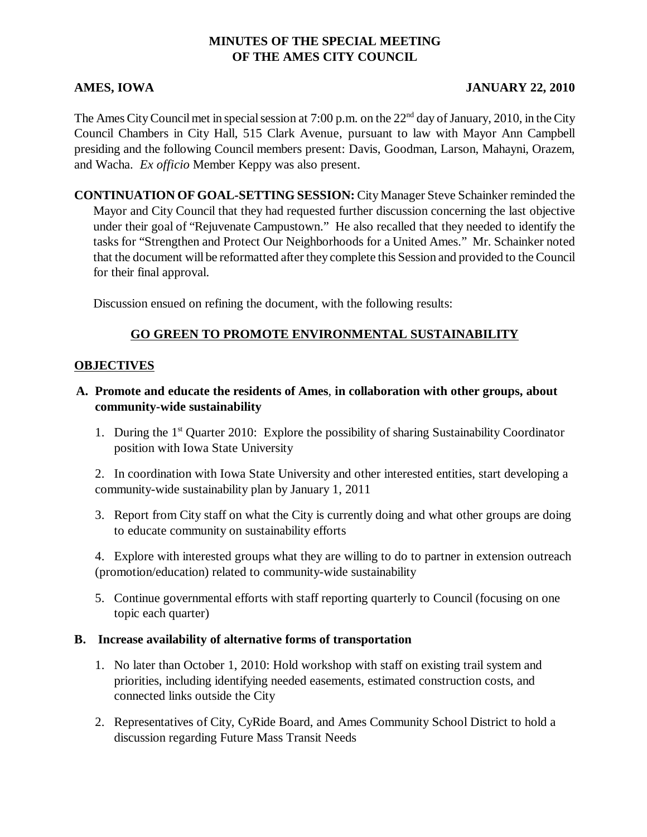# **MINUTES OF THE SPECIAL MEETING OF THE AMES CITY COUNCIL**

## **AMES, IOWA JANUARY 22, 2010**

The Ames City Council met in special session at 7:00 p.m. on the 22<sup>nd</sup> day of January, 2010, in the City Council Chambers in City Hall, 515 Clark Avenue, pursuant to law with Mayor Ann Campbell presiding and the following Council members present: Davis, Goodman, Larson, Mahayni, Orazem, and Wacha. *Ex officio* Member Keppy was also present.

**CONTINUATION OF GOAL-SETTING SESSION:** City Manager Steve Schainker reminded the Mayor and City Council that they had requested further discussion concerning the last objective under their goal of "Rejuvenate Campustown." He also recalled that they needed to identify the tasks for "Strengthen and Protect Our Neighborhoods for a United Ames." Mr. Schainker noted that the document will be reformatted after they complete this Session and provided to the Council for their final approval.

Discussion ensued on refining the document, with the following results:

## **GO GREEN TO PROMOTE ENVIRONMENTAL SUSTAINABILITY**

#### **OBJECTIVES**

- **A. Promote and educate the residents of Ames**, **in collaboration with other groups, about community-wide sustainability**
	- 1. During the 1st Quarter 2010: Explore the possibility of sharing Sustainability Coordinator position with Iowa State University

2. In coordination with Iowa State University and other interested entities, start developing a community-wide sustainability plan by January 1, 2011

3. Report from City staff on what the City is currently doing and what other groups are doing to educate community on sustainability efforts

4. Explore with interested groups what they are willing to do to partner in extension outreach (promotion/education) related to community-wide sustainability

5. Continue governmental efforts with staff reporting quarterly to Council (focusing on one topic each quarter)

#### **B. Increase availability of alternative forms of transportation**

- 1. No later than October 1, 2010: Hold workshop with staff on existing trail system and priorities, including identifying needed easements, estimated construction costs, and connected links outside the City
- 2. Representatives of City, CyRide Board, and Ames Community School District to hold a discussion regarding Future Mass Transit Needs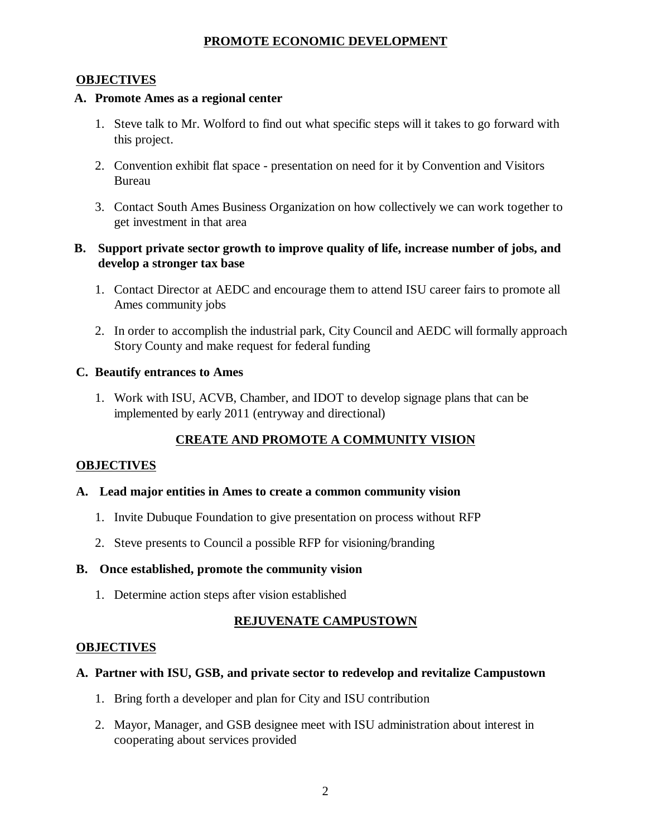# **PROMOTE ECONOMIC DEVELOPMENT**

## **OBJECTIVES**

# **A. Promote Ames as a regional center**

- 1. Steve talk to Mr. Wolford to find out what specific steps will it takes to go forward with this project.
- 2. Convention exhibit flat space presentation on need for it by Convention and Visitors Bureau
- 3. Contact South Ames Business Organization on how collectively we can work together to get investment in that area

# **B. Support private sector growth to improve quality of life, increase number of jobs, and develop a stronger tax base**

- 1. Contact Director at AEDC and encourage them to attend ISU career fairs to promote all Ames community jobs
- 2. In order to accomplish the industrial park, City Council and AEDC will formally approach Story County and make request for federal funding

# **C. Beautify entrances to Ames**

1. Work with ISU, ACVB, Chamber, and IDOT to develop signage plans that can be implemented by early 2011 (entryway and directional)

# **CREATE AND PROMOTE A COMMUNITY VISION**

# **OBJECTIVES**

# **A. Lead major entities in Ames to create a common community vision**

- 1. Invite Dubuque Foundation to give presentation on process without RFP
- 2. Steve presents to Council a possible RFP for visioning/branding

# **B. Once established, promote the community vision**

1. Determine action steps after vision established

# **REJUVENATE CAMPUSTOWN**

# **OBJECTIVES**

# **A. Partner with ISU, GSB, and private sector to redevelop and revitalize Campustown**

- 1. Bring forth a developer and plan for City and ISU contribution
- 2. Mayor, Manager, and GSB designee meet with ISU administration about interest in cooperating about services provided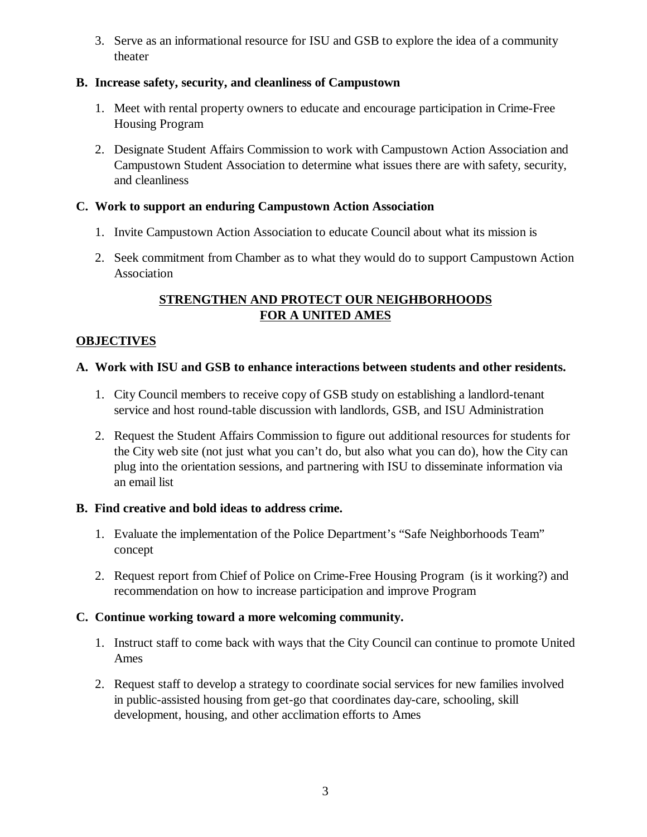3. Serve as an informational resource for ISU and GSB to explore the idea of a community theater

# **B. Increase safety, security, and cleanliness of Campustown**

- 1. Meet with rental property owners to educate and encourage participation in Crime-Free Housing Program
- 2. Designate Student Affairs Commission to work with Campustown Action Association and Campustown Student Association to determine what issues there are with safety, security, and cleanliness

# **C. Work to support an enduring Campustown Action Association**

- 1. Invite Campustown Action Association to educate Council about what its mission is
- 2. Seek commitment from Chamber as to what they would do to support Campustown Action Association

# **STRENGTHEN AND PROTECT OUR NEIGHBORHOODS FOR A UNITED AMES**

# **OBJECTIVES**

# **A. Work with ISU and GSB to enhance interactions between students and other residents.**

- 1. City Council members to receive copy of GSB study on establishing a landlord-tenant service and host round-table discussion with landlords, GSB, and ISU Administration
- 2. Request the Student Affairs Commission to figure out additional resources for students for the City web site (not just what you can't do, but also what you can do), how the City can plug into the orientation sessions, and partnering with ISU to disseminate information via an email list

## **B. Find creative and bold ideas to address crime.**

- 1. Evaluate the implementation of the Police Department's "Safe Neighborhoods Team" concept
- 2. Request report from Chief of Police on Crime-Free Housing Program (is it working?) and recommendation on how to increase participation and improve Program

# **C. Continue working toward a more welcoming community.**

- 1. Instruct staff to come back with ways that the City Council can continue to promote United Ames
- 2. Request staff to develop a strategy to coordinate social services for new families involved in public-assisted housing from get-go that coordinates day-care, schooling, skill development, housing, and other acclimation efforts to Ames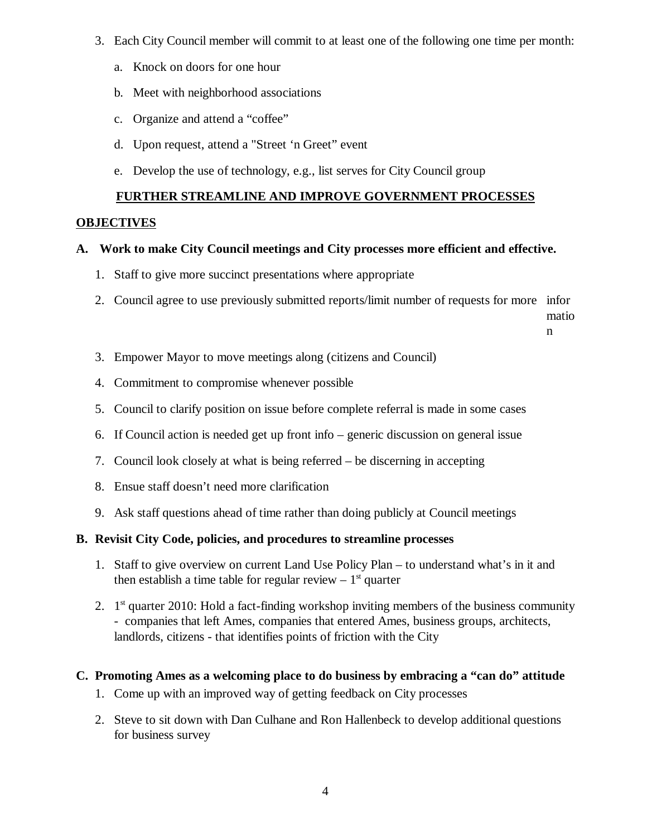- 3. Each City Council member will commit to at least one of the following one time per month:
	- a. Knock on doors for one hour
	- b. Meet with neighborhood associations
	- c. Organize and attend a "coffee"
	- d. Upon request, attend a "Street 'n Greet" event
	- e. Develop the use of technology, e.g., list serves for City Council group

# **FURTHER STREAMLINE AND IMPROVE GOVERNMENT PROCESSES**

#### **OBJECTIVES**

## **A. Work to make City Council meetings and City processes more efficient and effective.**

- 1. Staff to give more succinct presentations where appropriate
- 2. Council agree to use previously submitted reports/limit number of requests for more infor

matio n

- 3. Empower Mayor to move meetings along (citizens and Council)
- 4. Commitment to compromise whenever possible
- 5. Council to clarify position on issue before complete referral is made in some cases
- 6. If Council action is needed get up front info generic discussion on general issue
- 7. Council look closely at what is being referred be discerning in accepting
- 8. Ensue staff doesn't need more clarification
- 9. Ask staff questions ahead of time rather than doing publicly at Council meetings

#### **B. Revisit City Code, policies, and procedures to streamline processes**

- 1. Staff to give overview on current Land Use Policy Plan to understand what's in it and then establish a time table for regular review  $-1<sup>st</sup>$  quarter
- 2.  $1<sup>st</sup>$  quarter 2010: Hold a fact-finding workshop inviting members of the business community - companies that left Ames, companies that entered Ames, business groups, architects, landlords, citizens - that identifies points of friction with the City

## **C. Promoting Ames as a welcoming place to do business by embracing a "can do" attitude**

- 1. Come up with an improved way of getting feedback on City processes
- 2. Steve to sit down with Dan Culhane and Ron Hallenbeck to develop additional questions for business survey